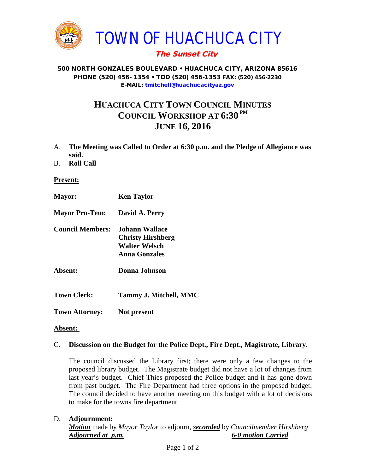

## The Sunset City

#### 500 NORTH GONZALES BOULEVARD • HUACHUCA CITY, ARIZONA 85616 PHONE (520) 456- 1354 • TDD (520) 456-1353 FAX: (520) 456-2230 E-MAIL: [tmitchell@huachucacityaz.gov](mailto:tmitchell@huachucacityaz.gov)

# **HUACHUCA CITY TOWN COUNCIL MINUTES COUNCIL WORKSHOP AT 6:30 PM JUNE 16, 2016**

- A. **The Meeting was Called to Order at 6:30 p.m. and the Pledge of Allegiance was said.**
- B. **Roll Call**

**Present:**

**Mayor: Ken Taylor Mayor Pro-Tem: David A. Perry Council Members: Johann Wallace Christy Hirshberg Walter Welsch Anna Gonzales Absent: Donna Johnson Town Clerk: Tammy J. Mitchell, MMC Town Attorney: Not present**

### **Absent:**

### C. **Discussion on the Budget for the Police Dept., Fire Dept., Magistrate, Library.**

The council discussed the Library first; there were only a few changes to the proposed library budget. The Magistrate budget did not have a lot of changes from last year's budget. Chief Thies proposed the Police budget and it has gone down from past budget. The Fire Department had three options in the proposed budget. The council decided to have another meeting on this budget with a lot of decisions to make for the towns fire department.

### D. **Adjournment:**

*Motion* made by *Mayor Taylor* to adjourn, *seconded* by *Councilmember Hirshberg Adjourned at p.m. 6-0 motion Carried*